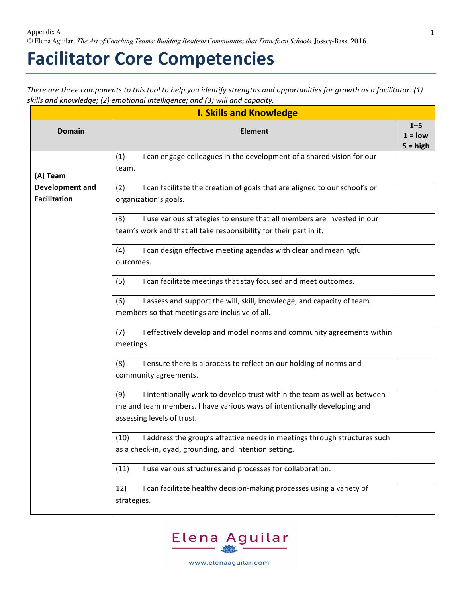## **Facilitator Core Competencies**

*There are three components to this tool to help you identify strengths and opportunities for growth as a facilitator: (1)* skills and knowledge; (2) emotional intelligence; and (3) will and capacity.

1

| <b>I. Skills and Knowledge</b>         |                                                                                                                                                                                                                                              |                                    |
|----------------------------------------|----------------------------------------------------------------------------------------------------------------------------------------------------------------------------------------------------------------------------------------------|------------------------------------|
| <b>Domain</b>                          | <b>Element</b>                                                                                                                                                                                                                               | $1 - 5$<br>$1 = low$<br>$5 = high$ |
| (A) Team                               | I can engage colleagues in the development of a shared vision for our<br>(1)<br>team.                                                                                                                                                        |                                    |
| Development and<br><b>Facilitation</b> | I can facilitate the creation of goals that are aligned to our school's or<br>(2)<br>organization's goals.                                                                                                                                   |                                    |
|                                        | (3)<br>I use various strategies to ensure that all members are invested in our<br>team's work and that all take responsibility for their part in it.<br>(4)<br>I can design effective meeting agendas with clear and meaningful<br>outcomes. |                                    |
|                                        | I can facilitate meetings that stay focused and meet outcomes.<br>(5)                                                                                                                                                                        |                                    |
|                                        | I assess and support the will, skill, knowledge, and capacity of team<br>(6)<br>members so that meetings are inclusive of all.                                                                                                               |                                    |
|                                        | (7)<br>I effectively develop and model norms and community agreements within<br>meetings.                                                                                                                                                    |                                    |
|                                        | (8)<br>I ensure there is a process to reflect on our holding of norms and<br>community agreements.                                                                                                                                           |                                    |
|                                        | I intentionally work to develop trust within the team as well as between<br>(9)<br>me and team members. I have various ways of intentionally developing and<br>assessing levels of trust.                                                    |                                    |
|                                        | I address the group's affective needs in meetings through structures such<br>(10)<br>as a check-in, dyad, grounding, and intention setting.                                                                                                  |                                    |
|                                        | I use various structures and processes for collaboration.<br>(11)                                                                                                                                                                            |                                    |
|                                        | I can facilitate healthy decision-making processes using a variety of<br>12)<br>strategies.                                                                                                                                                  |                                    |



www.elenaaguilar.com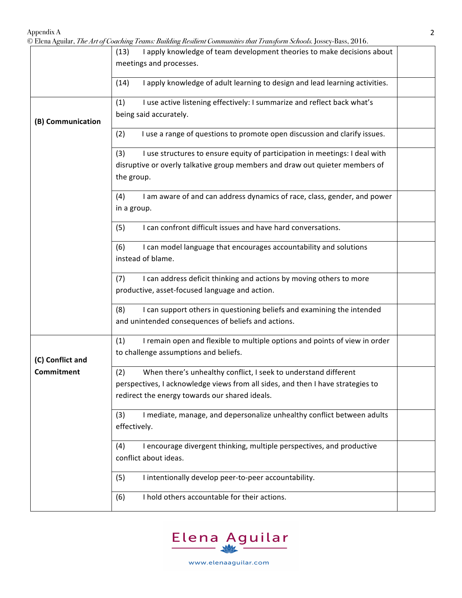© Elena Aguilar, *The Art of Coaching Teams: Building Resilient Communities that Transform Schools.* Jossey-Bass, 2016.

|                   | ana; <i>The Intelligues</i> Contains Danian Research Communities that Transform Schools, Jossey Bass, 2010 |
|-------------------|------------------------------------------------------------------------------------------------------------|
|                   | I apply knowledge of team development theories to make decisions about<br>(13)                             |
|                   | meetings and processes.                                                                                    |
|                   |                                                                                                            |
|                   | I apply knowledge of adult learning to design and lead learning activities.<br>(14)                        |
|                   | I use active listening effectively: I summarize and reflect back what's<br>(1)                             |
|                   | being said accurately.                                                                                     |
| (B) Communication |                                                                                                            |
|                   | I use a range of questions to promote open discussion and clarify issues.<br>(2)                           |
|                   |                                                                                                            |
|                   | I use structures to ensure equity of participation in meetings: I deal with<br>(3)                         |
|                   | disruptive or overly talkative group members and draw out quieter members of                               |
|                   |                                                                                                            |
|                   | the group.                                                                                                 |
|                   | I am aware of and can address dynamics of race, class, gender, and power<br>(4)                            |
|                   | in a group.                                                                                                |
|                   |                                                                                                            |
|                   | I can confront difficult issues and have hard conversations.<br>(5)                                        |
|                   |                                                                                                            |
|                   | I can model language that encourages accountability and solutions<br>(6)                                   |
|                   | instead of blame.                                                                                          |
|                   |                                                                                                            |
|                   | I can address deficit thinking and actions by moving others to more<br>(7)                                 |
|                   | productive, asset-focused language and action.                                                             |
|                   |                                                                                                            |
|                   | I can support others in questioning beliefs and examining the intended<br>(8)                              |
|                   | and unintended consequences of beliefs and actions.                                                        |
|                   |                                                                                                            |
|                   | I remain open and flexible to multiple options and points of view in order<br>(1)                          |
|                   | to challenge assumptions and beliefs.                                                                      |
| (C) Conflict and  |                                                                                                            |
| Commitment        | (2)<br>When there's unhealthy conflict, I seek to understand different                                     |
|                   | perspectives, I acknowledge views from all sides, and then I have strategies to                            |
|                   | redirect the energy towards our shared ideals.                                                             |
|                   |                                                                                                            |
|                   | I mediate, manage, and depersonalize unhealthy conflict between adults<br>(3)                              |
|                   | effectively.                                                                                               |
|                   |                                                                                                            |
|                   | I encourage divergent thinking, multiple perspectives, and productive<br>(4)                               |
|                   | conflict about ideas.                                                                                      |
|                   |                                                                                                            |
|                   | (5)<br>I intentionally develop peer-to-peer accountability.                                                |
|                   |                                                                                                            |
|                   | I hold others accountable for their actions.<br>(6)                                                        |
|                   |                                                                                                            |

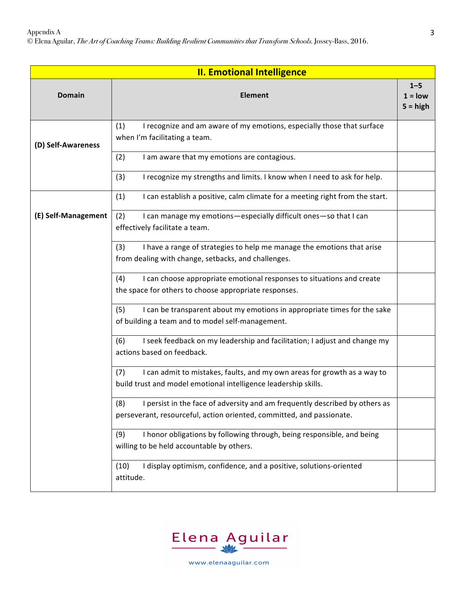Appendix A

© Elena Aguilar, *The Art of Coaching Teams: Building Resilient Communities that Transform Schools.* Jossey-Bass, 2016.

| <b>II. Emotional Intelligence</b> |                                                                                                                                                             |                                    |
|-----------------------------------|-------------------------------------------------------------------------------------------------------------------------------------------------------------|------------------------------------|
| <b>Domain</b>                     | <b>Element</b>                                                                                                                                              | $1 - 5$<br>$1 = low$<br>$5 = high$ |
| (D) Self-Awareness                | I recognize and am aware of my emotions, especially those that surface<br>(1)<br>when I'm facilitating a team.                                              |                                    |
|                                   | (2)<br>I am aware that my emotions are contagious.                                                                                                          |                                    |
|                                   | (3)<br>I recognize my strengths and limits. I know when I need to ask for help.                                                                             |                                    |
|                                   | (1)<br>I can establish a positive, calm climate for a meeting right from the start.                                                                         |                                    |
| (E) Self-Management               | (2)<br>I can manage my emotions-especially difficult ones-so that I can<br>effectively facilitate a team.                                                   |                                    |
|                                   | (3)<br>I have a range of strategies to help me manage the emotions that arise<br>from dealing with change, setbacks, and challenges.                        |                                    |
|                                   | I can choose appropriate emotional responses to situations and create<br>(4)<br>the space for others to choose appropriate responses.                       |                                    |
|                                   | (5)<br>I can be transparent about my emotions in appropriate times for the sake<br>of building a team and to model self-management.                         |                                    |
|                                   | I seek feedback on my leadership and facilitation; I adjust and change my<br>(6)<br>actions based on feedback.                                              |                                    |
|                                   | I can admit to mistakes, faults, and my own areas for growth as a way to<br>(7)<br>build trust and model emotional intelligence leadership skills.          |                                    |
|                                   | (8)<br>I persist in the face of adversity and am frequently described by others as<br>perseverant, resourceful, action oriented, committed, and passionate. |                                    |
|                                   | (9)<br>I honor obligations by following through, being responsible, and being<br>willing to be held accountable by others.                                  |                                    |
|                                   | I display optimism, confidence, and a positive, solutions-oriented<br>(10)<br>attitude.                                                                     |                                    |



www.elenaaguilar.com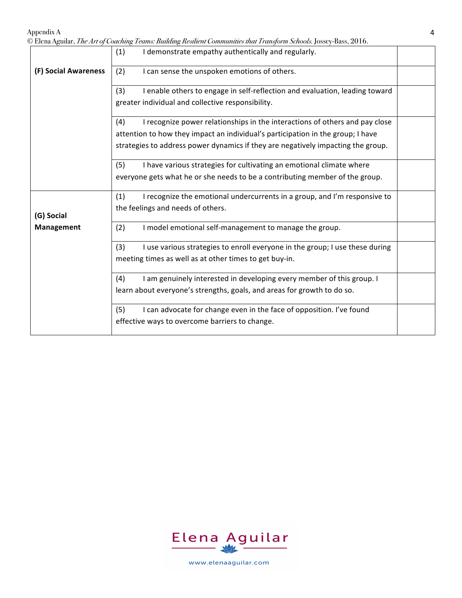Appendix A

|                      | © Elena Aguilar, <i>The Art of Coaching Teams: Building Resilient Communities that Transform Schools.</i> Jossey-Bass, 2016. |  |
|----------------------|------------------------------------------------------------------------------------------------------------------------------|--|
|                      | I demonstrate empathy authentically and regularly.<br>(1)                                                                    |  |
| (F) Social Awareness | I can sense the unspoken emotions of others.<br>(2)                                                                          |  |
|                      | (3)<br>I enable others to engage in self-reflection and evaluation, leading toward                                           |  |
|                      | greater individual and collective responsibility.                                                                            |  |
|                      | I recognize power relationships in the interactions of others and pay close<br>(4)                                           |  |
|                      | attention to how they impact an individual's participation in the group; I have                                              |  |
|                      | strategies to address power dynamics if they are negatively impacting the group.                                             |  |
|                      | (5)<br>I have various strategies for cultivating an emotional climate where                                                  |  |
|                      | everyone gets what he or she needs to be a contributing member of the group.                                                 |  |
|                      | I recognize the emotional undercurrents in a group, and I'm responsive to<br>(1)                                             |  |
| (G) Social           | the feelings and needs of others.                                                                                            |  |
| Management           | (2)<br>I model emotional self-management to manage the group.                                                                |  |
|                      | (3)<br>I use various strategies to enroll everyone in the group; I use these during                                          |  |
|                      | meeting times as well as at other times to get buy-in.                                                                       |  |
|                      | I am genuinely interested in developing every member of this group. I<br>(4)                                                 |  |
|                      | learn about everyone's strengths, goals, and areas for growth to do so.                                                      |  |
|                      | I can advocate for change even in the face of opposition. I've found<br>(5)                                                  |  |
|                      | effective ways to overcome barriers to change.                                                                               |  |



www.elenaaguilar.com